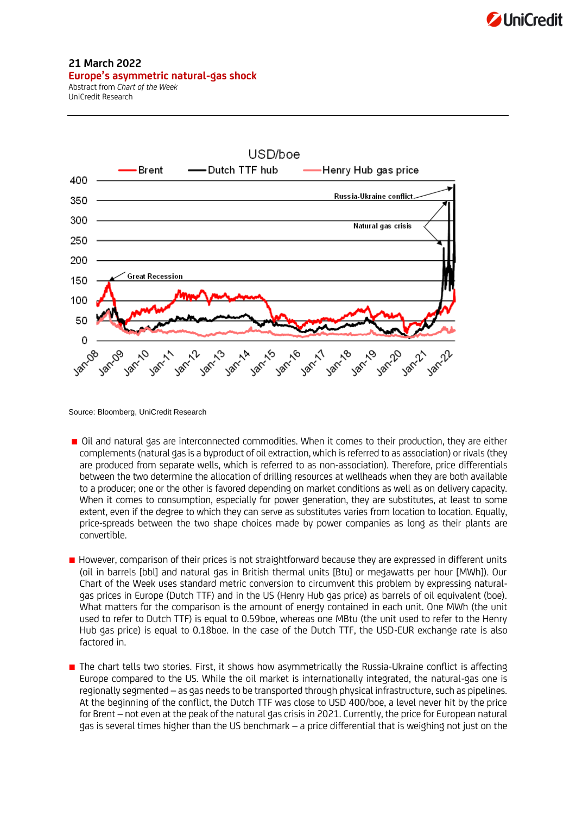

## **21 March 2022 Europe's asymmetric natural-gas shock**

Abstract from *Chart of the Week* UniCredit Research



Source: Bloomberg, UniCredit Research

- Oil and natural gas are interconnected commodities. When it comes to their production, they are either complements (natural gas is a byproduct of oil extraction, which is referred to as association) or rivals (they are produced from separate wells, which is referred to as non-association). Therefore, price differentials between the two determine the allocation of drilling resources at wellheads when they are both available to a producer; one or the other is favored depending on market conditions as well as on delivery capacity. When it comes to consumption, especially for power generation, they are substitutes, at least to some extent, even if the degree to which they can serve as substitutes varies from location to location. Equally, price-spreads between the two shape choices made by power companies as long as their plants are convertible.
- However, comparison of their prices is not straightforward because they are expressed in different units (oil in barrels [bbl] and natural gas in British thermal units [Btu] or megawatts per hour [MWh]). Our Chart of the Week uses standard metric conversion to circumvent this problem by expressing naturalgas prices in Europe (Dutch TTF) and in the US (Henry Hub gas price) as barrels of oil equivalent (boe). What matters for the comparison is the amount of energy contained in each unit. One MWh (the unit used to refer to Dutch TTF) is equal to 0.59boe, whereas one MBtu (the unit used to refer to the Henry Hub gas price) is equal to 0.18boe. In the case of the Dutch TTF, the USD-EUR exchange rate is also factored in.
- The chart tells two stories. First, it shows how asymmetrically the Russia-Ukraine conflict is affecting Europe compared to the US. While the oil market is internationally integrated, the natural-gas one is regionally segmented – as gas needs to be transported through physical infrastructure, such as pipelines. At the beginning of the conflict, the Dutch TTF was close to USD 400/boe, a level never hit by the price for Brent – not even at the peak of the natural gas crisis in 2021. Currently, the price for European natural gas is several times higher than the US benchmark – a price differential that is weighing not just on the